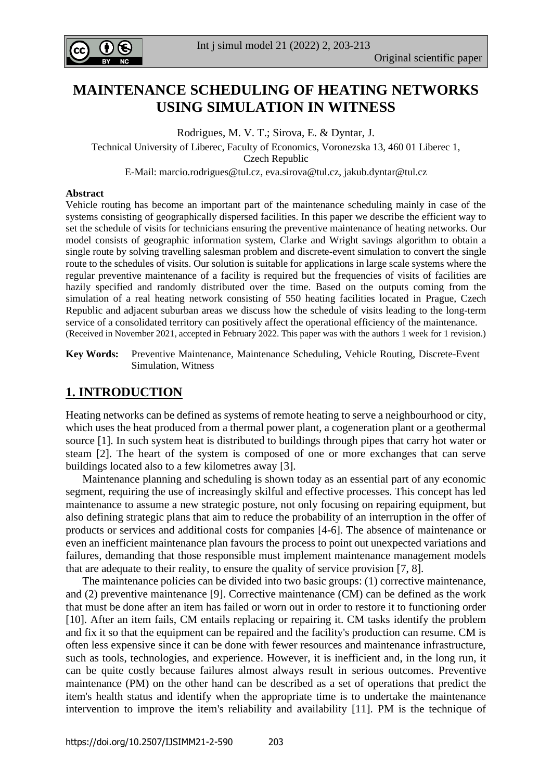

# **MAINTENANCE SCHEDULING OF HEATING NETWORKS USING SIMULATION IN WITNESS**

Rodrigues, M. V. T.; Sirova, E. & Dyntar, J. Technical University of Liberec, Faculty of Economics, Voronezska 13, 460 01 Liberec 1, Czech Republic

E-Mail[: marcio.rodrigues@tul.cz,](mailto:marcio.rodrigues@tul.cz) [eva.sirova@tul.cz,](mailto:eva.sirova@tul.cz) [jakub.dyntar@tul.cz](mailto:jakub.dyntar@tul.cz)

#### **Abstract**

Vehicle routing has become an important part of the maintenance scheduling mainly in case of the systems consisting of geographically dispersed facilities. In this paper we describe the efficient way to set the schedule of visits for technicians ensuring the preventive maintenance of heating networks. Our model consists of geographic information system, Clarke and Wright savings algorithm to obtain a single route by solving travelling salesman problem and discrete-event simulation to convert the single route to the schedules of visits. Our solution is suitable for applications in large scale systems where the regular preventive maintenance of a facility is required but the frequencies of visits of facilities are hazily specified and randomly distributed over the time. Based on the outputs coming from the simulation of a real heating network consisting of 550 heating facilities located in Prague, Czech Republic and adjacent suburban areas we discuss how the schedule of visits leading to the long-term service of a consolidated territory can positively affect the operational efficiency of the maintenance. (Received in November 2021, accepted in February 2022. This paper was with the authors 1 week for 1 revision.)

**Key Words:** Preventive Maintenance, Maintenance Scheduling, Vehicle Routing, Discrete-Event Simulation, Witness

## **1. INTRODUCTION**

Heating networks can be defined as systems of remote heating to serve a neighbourhood or city, which uses the heat produced from a thermal power plant, a cogeneration plant or a geothermal source [1]. In such system heat is distributed to buildings through pipes that carry hot water or steam [2]. The heart of the system is composed of one or more exchanges that can serve buildings located also to a few kilometres away [3].

 Maintenance planning and scheduling is shown today as an essential part of any economic segment, requiring the use of increasingly skilful and effective processes. This concept has led maintenance to assume a new strategic posture, not only focusing on repairing equipment, but also defining strategic plans that aim to reduce the probability of an interruption in the offer of products or services and additional costs for companies [4-6]. The absence of maintenance or even an inefficient maintenance plan favours the process to point out unexpected variations and failures, demanding that those responsible must implement maintenance management models that are adequate to their reality, to ensure the quality of service provision [7, 8].

 The maintenance policies can be divided into two basic groups: (1) corrective maintenance, and (2) preventive maintenance [9]. Corrective maintenance (CM) can be defined as the work that must be done after an item has failed or worn out in order to restore it to functioning order [10]. After an item fails, CM entails replacing or repairing it. CM tasks identify the problem and fix it so that the equipment can be repaired and the facility's production can resume. CM is often less expensive since it can be done with fewer resources and maintenance infrastructure, such as tools, technologies, and experience. However, it is inefficient and, in the long run, it can be quite costly because failures almost always result in serious outcomes. Preventive maintenance (PM) on the other hand can be described as a set of operations that predict the item's health status and identify when the appropriate time is to undertake the maintenance intervention to improve the item's reliability and availability [11]. PM is the technique of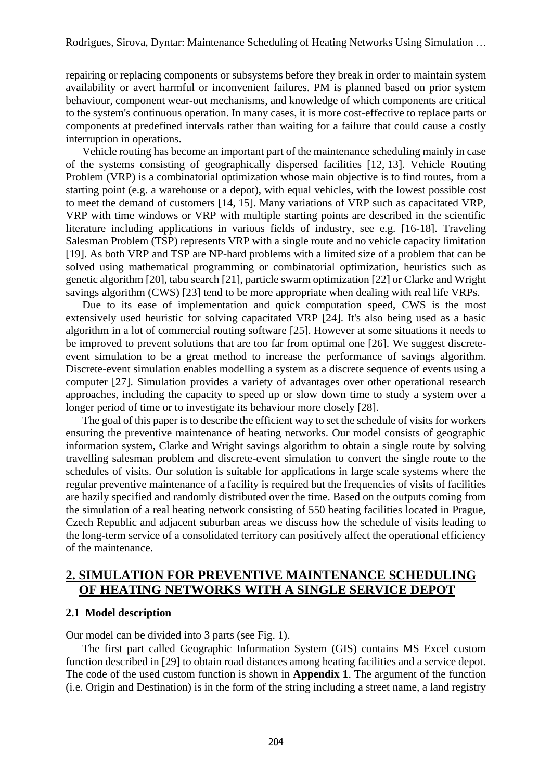repairing or replacing components or subsystems before they break in order to maintain system availability or avert harmful or inconvenient failures. PM is planned based on prior system behaviour, component wear-out mechanisms, and knowledge of which components are critical to the system's continuous operation. In many cases, it is more cost-effective to replace parts or components at predefined intervals rather than waiting for a failure that could cause a costly interruption in operations.

 Vehicle routing has become an important part of the maintenance scheduling mainly in case of the systems consisting of geographically dispersed facilities [12, 13]. Vehicle Routing Problem (VRP) is a combinatorial optimization whose main objective is to find routes, from a starting point (e.g. a warehouse or a depot), with equal vehicles, with the lowest possible cost to meet the demand of customers [14, 15]. Many variations of VRP such as capacitated VRP, VRP with time windows or VRP with multiple starting points are described in the scientific literature including applications in various fields of industry, see e.g. [16-18]. Traveling Salesman Problem (TSP) represents VRP with a single route and no vehicle capacity limitation [19]. As both VRP and TSP are NP-hard problems with a limited size of a problem that can be solved using mathematical programming or combinatorial optimization, heuristics such as genetic algorithm [20], tabu search [21], particle swarm optimization [22] or Clarke and Wright savings algorithm (CWS) [23] tend to be more appropriate when dealing with real life VRPs.

 Due to its ease of implementation and quick computation speed, CWS is the most extensively used heuristic for solving capacitated VRP [24]. It's also being used as a basic algorithm in a lot of commercial routing software [25]. However at some situations it needs to be improved to prevent solutions that are too far from optimal one [26]. We suggest discreteevent simulation to be a great method to increase the performance of savings algorithm. Discrete-event simulation enables modelling a system as a discrete sequence of events using a computer [27]. Simulation provides a variety of advantages over other operational research approaches, including the capacity to speed up or slow down time to study a system over a longer period of time or to investigate its behaviour more closely [28].

 The goal of this paper is to describe the efficient way to set the schedule of visits for workers ensuring the preventive maintenance of heating networks. Our model consists of geographic information system, Clarke and Wright savings algorithm to obtain a single route by solving travelling salesman problem and discrete-event simulation to convert the single route to the schedules of visits. Our solution is suitable for applications in large scale systems where the regular preventive maintenance of a facility is required but the frequencies of visits of facilities are hazily specified and randomly distributed over the time. Based on the outputs coming from the simulation of a real heating network consisting of 550 heating facilities located in Prague, Czech Republic and adjacent suburban areas we discuss how the schedule of visits leading to the long-term service of a consolidated territory can positively affect the operational efficiency of the maintenance.

## **2. SIMULATION FOR PREVENTIVE MAINTENANCE SCHEDULING OF HEATING NETWORKS WITH A SINGLE SERVICE DEPOT**

#### **2.1 Model description**

Our model can be divided into 3 parts (see Fig. 1).

 The first part called Geographic Information System (GIS) contains MS Excel custom function described in [29] to obtain road distances among heating facilities and a service depot. The code of the used custom function is shown in **Appendix 1**. The argument of the function (i.e. Origin and Destination) is in the form of the string including a street name, a land registry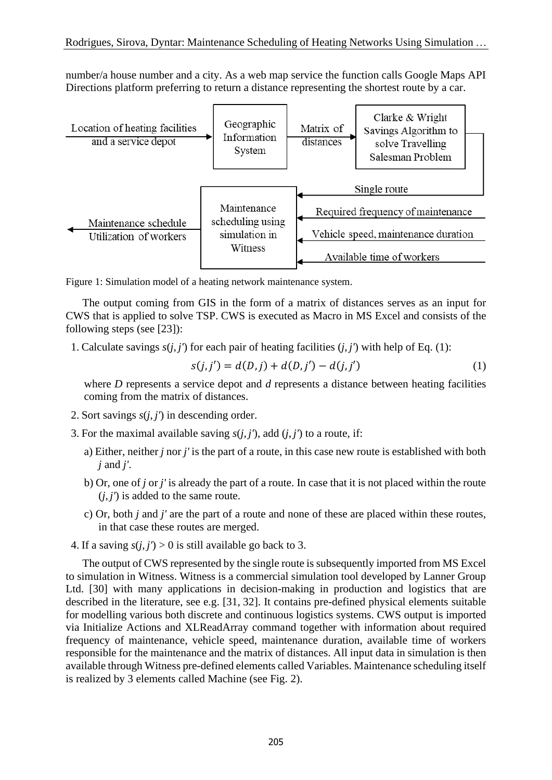number/a house number and a city. As a web map service the function calls Google Maps API Directions platform preferring to return a distance representing the shortest route by a car.



Figure 1: Simulation model of a heating network maintenance system.

 The output coming from GIS in the form of a matrix of distances serves as an input for CWS that is applied to solve TSP. CWS is executed as Macro in MS Excel and consists of the following steps (see [23]):

1. Calculate savings  $s(i, j')$  for each pair of heating facilities  $(i, j')$  with help of Eq. (1):

$$
s(j, j') = d(D, j) + d(D, j') - d(j, j')
$$
 (1)

where *D* represents a service depot and *d* represents a distance between heating facilities coming from the matrix of distances.

- 2. Sort savings  $s(j, j')$  in descending order.
- 3. For the maximal available saving  $s(i, i')$ , add  $(i, j')$  to a route, if:
	- a) Either, neither *j* nor *j'* is the part of a route, in this case new route is established with both *j* and *j'*.
	- b) Or, one of *j* or *j'* is already the part of a route. In case that it is not placed within the route  $(j, j')$  is added to the same route.
	- c) Or, both *j* and *j'* are the part of a route and none of these are placed within these routes, in that case these routes are merged.
- 4. If a saving  $s(i, j') > 0$  is still available go back to 3.

 The output of CWS represented by the single route is subsequently imported from MS Excel to simulation in Witness. Witness is a commercial simulation tool developed by Lanner Group Ltd. [30] with many applications in decision-making in production and logistics that are described in the literature, see e.g. [31, 32]. It contains pre-defined physical elements suitable for modelling various both discrete and continuous logistics systems. CWS output is imported via Initialize Actions and XLReadArray command together with information about required frequency of maintenance, vehicle speed, maintenance duration, available time of workers responsible for the maintenance and the matrix of distances. All input data in simulation is then available through Witness pre-defined elements called Variables. Maintenance scheduling itself is realized by 3 elements called Machine (see Fig. 2).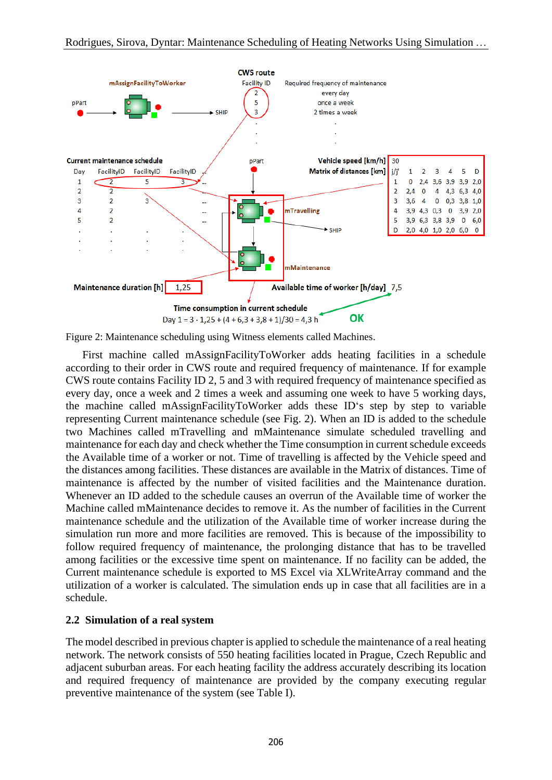

Figure 2: Maintenance scheduling using Witness elements called Machines.

 First machine called mAssignFacilityToWorker adds heating facilities in a schedule according to their order in CWS route and required frequency of maintenance. If for example CWS route contains Facility ID 2, 5 and 3 with required frequency of maintenance specified as every day, once a week and 2 times a week and assuming one week to have 5 working days, the machine called mAssignFacilityToWorker adds these ID's step by step to variable representing Current maintenance schedule (see Fig. 2). When an ID is added to the schedule two Machines called mTravelling and mMaintenance simulate scheduled travelling and maintenance for each day and check whether the Time consumption in current schedule exceeds the Available time of a worker or not. Time of travelling is affected by the Vehicle speed and the distances among facilities. These distances are available in the Matrix of distances. Time of maintenance is affected by the number of visited facilities and the Maintenance duration. Whenever an ID added to the schedule causes an overrun of the Available time of worker the Machine called mMaintenance decides to remove it. As the number of facilities in the Current maintenance schedule and the utilization of the Available time of worker increase during the simulation run more and more facilities are removed. This is because of the impossibility to follow required frequency of maintenance, the prolonging distance that has to be travelled among facilities or the excessive time spent on maintenance. If no facility can be added, the Current maintenance schedule is exported to MS Excel via XLWriteArray command and the utilization of a worker is calculated. The simulation ends up in case that all facilities are in a schedule.

### **2.2 Simulation of a real system**

The model described in previous chapter is applied to schedule the maintenance of a real heating network. The network consists of 550 heating facilities located in Prague, Czech Republic and adjacent suburban areas. For each heating facility the address accurately describing its location and required frequency of maintenance are provided by the company executing regular preventive maintenance of the system (see Table I).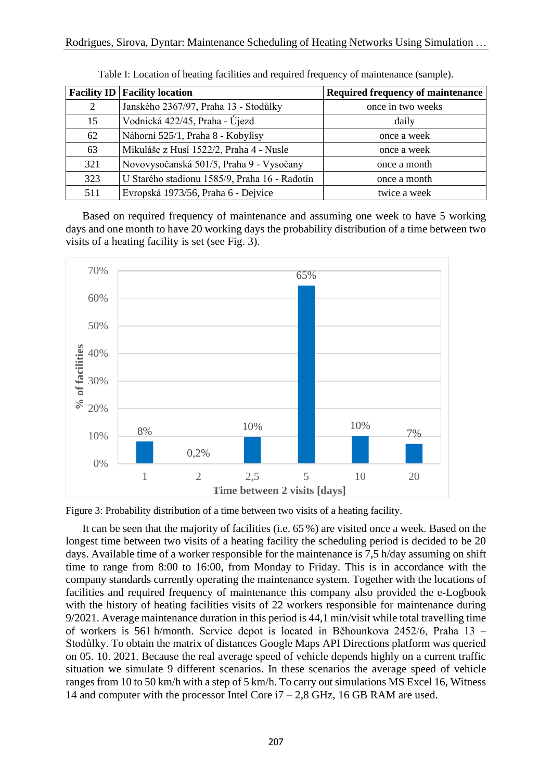|     | <b>Facility ID   Facility location</b>        | <b>Required frequency of maintenance</b> |
|-----|-----------------------------------------------|------------------------------------------|
| 2   | Janského 2367/97, Praha 13 - Stodůlky         | once in two weeks                        |
| 15  | Vodnická 422/45, Praha - Újezd                | daily                                    |
| 62  | Náhorní 525/1, Praha 8 - Kobylisy             | once a week                              |
| 63  | Mikuláše z Husí 1522/2, Praha 4 - Nusle       | once a week                              |
| 321 | Novovysočanská 501/5, Praha 9 - Vysočany      | once a month                             |
| 323 | U Starého stadionu 1585/9, Praha 16 - Radotín | once a month                             |
| 511 | Evropská 1973/56, Praha 6 - Dejvice           | twice a week                             |

Table I: Location of heating facilities and required frequency of maintenance (sample).

 Based on required frequency of maintenance and assuming one week to have 5 working days and one month to have 20 working days the probability distribution of a time between two visits of a heating facility is set (see Fig. 3).



Figure 3: Probability distribution of a time between two visits of a heating facility.

 It can be seen that the majority of facilities (i.e. 65 %) are visited once a week. Based on the longest time between two visits of a heating facility the scheduling period is decided to be 20 days. Available time of a worker responsible for the maintenance is 7,5 h/day assuming on shift time to range from 8:00 to 16:00, from Monday to Friday. This is in accordance with the company standards currently operating the maintenance system. Together with the locations of facilities and required frequency of maintenance this company also provided the e-Logbook with the history of heating facilities visits of 22 workers responsible for maintenance during 9/2021. Average maintenance duration in this period is 44,1 min/visit while total travelling time of workers is 561 h/month. Service depot is located in Běhounkova 2452/6, Praha 13 – Stodůlky. To obtain the matrix of distances Google Maps API Directions platform was queried on 05. 10. 2021. Because the real average speed of vehicle depends highly on a current traffic situation we simulate 9 different scenarios. In these scenarios the average speed of vehicle ranges from 10 to 50 km/h with a step of 5 km/h. To carry out simulations MS Excel 16, Witness 14 and computer with the processor Intel Core  $i7 - 2.8$  GHz, 16 GB RAM are used.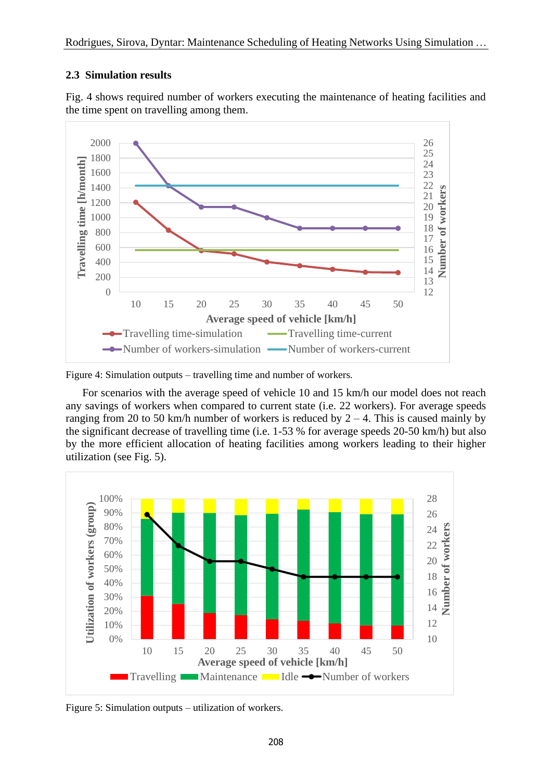### **2.3 Simulation results**



Fig. 4 shows required number of workers executing the maintenance of heating facilities and the time spent on travelling among them.

Figure 4: Simulation outputs – travelling time and number of workers.

 For scenarios with the average speed of vehicle 10 and 15 km/h our model does not reach any savings of workers when compared to current state (i.e. 22 workers). For average speeds ranging from 20 to 50 km/h number of workers is reduced by  $2 - 4$ . This is caused mainly by the significant decrease of travelling time (i.e. 1-53 % for average speeds 20-50 km/h) but also by the more efficient allocation of heating facilities among workers leading to their higher utilization (see Fig. 5).



Figure 5: Simulation outputs – utilization of workers.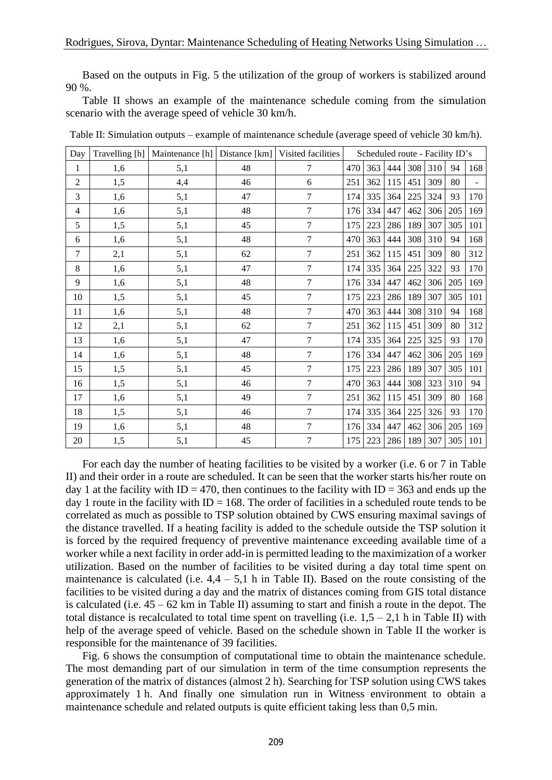Based on the outputs in Fig. 5 the utilization of the group of workers is stabilized around 90 %.

 Table II shows an example of the maintenance schedule coming from the simulation scenario with the average speed of vehicle 30 km/h.

| Day            |     | Travelling [h]   Maintenance [h]   Distance [km]   Visited facilities |    | Scheduled route - Facility ID's |     |     |     |     |     |     |     |
|----------------|-----|-----------------------------------------------------------------------|----|---------------------------------|-----|-----|-----|-----|-----|-----|-----|
| 1              | 1,6 | 5,1                                                                   | 48 | $\tau$                          | 470 | 363 | 444 | 308 | 310 | 94  | 168 |
| $\overline{2}$ | 1,5 | 4,4                                                                   | 46 | 6                               | 251 | 362 | 115 | 451 | 309 | 80  |     |
| 3              | 1,6 | 5,1                                                                   | 47 | $\overline{7}$                  | 174 | 335 | 364 | 225 | 324 | 93  | 170 |
| $\overline{4}$ | 1,6 | 5,1                                                                   | 48 | $\overline{7}$                  | 176 | 334 | 447 | 462 | 306 | 205 | 169 |
| 5              | 1,5 | 5,1                                                                   | 45 | $\overline{7}$                  | 175 | 223 | 286 | 189 | 307 | 305 | 101 |
| 6              | 1,6 | 5,1                                                                   | 48 | $\overline{7}$                  | 470 | 363 | 444 | 308 | 310 | 94  | 168 |
| 7              | 2,1 | 5,1                                                                   | 62 | $\tau$                          | 251 | 362 | 115 | 451 | 309 | 80  | 312 |
| 8              | 1,6 | 5,1                                                                   | 47 | $\overline{7}$                  | 174 | 335 | 364 | 225 | 322 | 93  | 170 |
| 9              | 1,6 | 5,1                                                                   | 48 | 7                               | 176 | 334 | 447 | 462 | 306 | 205 | 169 |
| 10             | 1,5 | 5,1                                                                   | 45 | $\overline{7}$                  | 175 | 223 | 286 | 189 | 307 | 305 | 101 |
| 11             | 1,6 | 5,1                                                                   | 48 | $\overline{7}$                  | 470 | 363 | 444 | 308 | 310 | 94  | 168 |
| 12             | 2,1 | 5,1                                                                   | 62 | $\overline{7}$                  | 251 | 362 | 115 | 451 | 309 | 80  | 312 |
| 13             | 1,6 | 5,1                                                                   | 47 | $\overline{7}$                  | 174 | 335 | 364 | 225 | 325 | 93  | 170 |
| 14             | 1,6 | 5,1                                                                   | 48 | $\tau$                          | 176 | 334 | 447 | 462 | 306 | 205 | 169 |
| 15             | 1,5 | 5,1                                                                   | 45 | $\overline{7}$                  | 175 | 223 | 286 | 189 | 307 | 305 | 101 |
| 16             | 1,5 | 5,1                                                                   | 46 | $\overline{7}$                  | 470 | 363 | 444 | 308 | 323 | 310 | 94  |
| 17             | 1,6 | 5,1                                                                   | 49 | $\overline{7}$                  | 251 | 362 | 115 | 451 | 309 | 80  | 168 |
| 18             | 1,5 | 5,1                                                                   | 46 | 7                               | 174 | 335 | 364 | 225 | 326 | 93  | 170 |
| 19             | 1,6 | 5,1                                                                   | 48 | $\overline{7}$                  | 176 | 334 | 447 | 462 | 306 | 205 | 169 |
| 20             | 1,5 | 5,1                                                                   | 45 | $\tau$                          | 175 | 223 | 286 | 189 | 307 | 305 | 101 |

Table II: Simulation outputs – example of maintenance schedule (average speed of vehicle 30 km/h).

 For each day the number of heating facilities to be visited by a worker (i.e. 6 or 7 in Table II) and their order in a route are scheduled. It can be seen that the worker starts his/her route on day 1 at the facility with ID = 470, then continues to the facility with ID = 363 and ends up the day 1 route in the facility with  $ID = 168$ . The order of facilities in a scheduled route tends to be correlated as much as possible to TSP solution obtained by CWS ensuring maximal savings of the distance travelled. If a heating facility is added to the schedule outside the TSP solution it is forced by the required frequency of preventive maintenance exceeding available time of a worker while a next facility in order add-in is permitted leading to the maximization of a worker utilization. Based on the number of facilities to be visited during a day total time spent on maintenance is calculated (i.e.  $4,4 - 5,1$  h in Table II). Based on the route consisting of the facilities to be visited during a day and the matrix of distances coming from GIS total distance is calculated (i.e. 45 – 62 km in Table II) assuming to start and finish a route in the depot. The total distance is recalculated to total time spent on travelling (i.e.  $1,5 - 2,1$  h in Table II) with help of the average speed of vehicle. Based on the schedule shown in Table II the worker is responsible for the maintenance of 39 facilities.

 Fig. 6 shows the consumption of computational time to obtain the maintenance schedule. The most demanding part of our simulation in term of the time consumption represents the generation of the matrix of distances (almost 2 h). Searching for TSP solution using CWS takes approximately 1 h. And finally one simulation run in Witness environment to obtain a maintenance schedule and related outputs is quite efficient taking less than 0,5 min.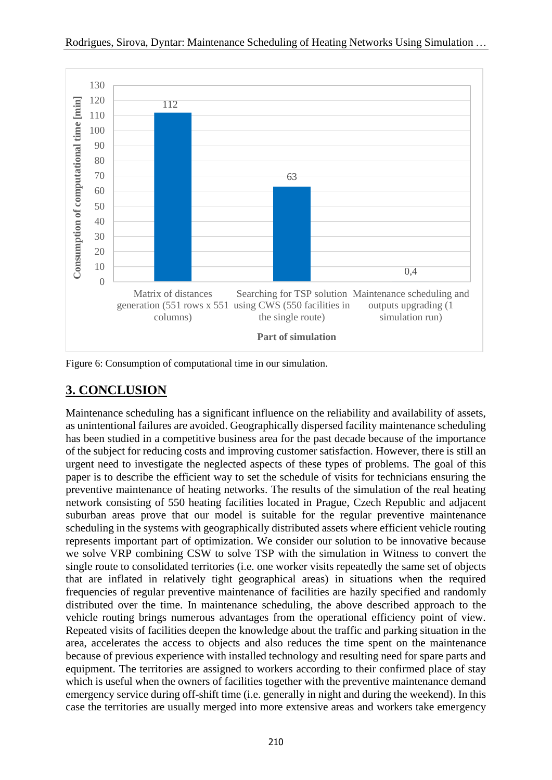

Figure 6: Consumption of computational time in our simulation.

# **3. CONCLUSION**

Maintenance scheduling has a significant influence on the reliability and availability of assets, as unintentional failures are avoided. Geographically dispersed facility maintenance scheduling has been studied in a competitive business area for the past decade because of the importance of the subject for reducing costs and improving customer satisfaction. However, there is still an urgent need to investigate the neglected aspects of these types of problems. The goal of this paper is to describe the efficient way to set the schedule of visits for technicians ensuring the preventive maintenance of heating networks. The results of the simulation of the real heating network consisting of 550 heating facilities located in Prague, Czech Republic and adjacent suburban areas prove that our model is suitable for the regular preventive maintenance scheduling in the systems with geographically distributed assets where efficient vehicle routing represents important part of optimization. We consider our solution to be innovative because we solve VRP combining CSW to solve TSP with the simulation in Witness to convert the single route to consolidated territories (i.e. one worker visits repeatedly the same set of objects that are inflated in relatively tight geographical areas) in situations when the required frequencies of regular preventive maintenance of facilities are hazily specified and randomly distributed over the time. In maintenance scheduling, the above described approach to the vehicle routing brings numerous advantages from the operational efficiency point of view. Repeated visits of facilities deepen the knowledge about the traffic and parking situation in the area, accelerates the access to objects and also reduces the time spent on the maintenance because of previous experience with installed technology and resulting need for spare parts and equipment. The territories are assigned to workers according to their confirmed place of stay which is useful when the owners of facilities together with the preventive maintenance demand emergency service during off-shift time (i.e. generally in night and during the weekend). In this case the territories are usually merged into more extensive areas and workers take emergency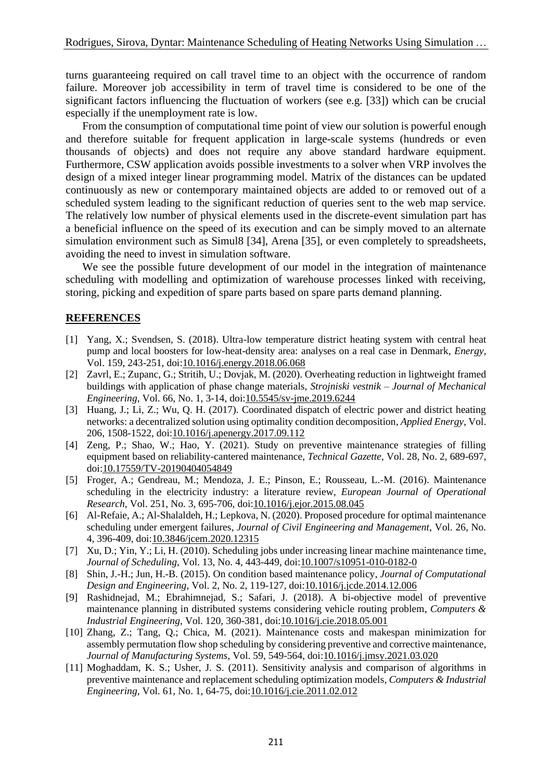turns guaranteeing required on call travel time to an object with the occurrence of random failure. Moreover job accessibility in term of travel time is considered to be one of the significant factors influencing the fluctuation of workers (see e.g. [33]) which can be crucial especially if the unemployment rate is low.

 From the consumption of computational time point of view our solution is powerful enough and therefore suitable for frequent application in large-scale systems (hundreds or even thousands of objects) and does not require any above standard hardware equipment. Furthermore, CSW application avoids possible investments to a solver when VRP involves the design of a mixed integer linear programming model. Matrix of the distances can be updated continuously as new or contemporary maintained objects are added to or removed out of a scheduled system leading to the significant reduction of queries sent to the web map service. The relatively low number of physical elements used in the discrete-event simulation part has a beneficial influence on the speed of its execution and can be simply moved to an alternate simulation environment such as Simul8 [34], Arena [35], or even completely to spreadsheets, avoiding the need to invest in simulation software.

 We see the possible future development of our model in the integration of maintenance scheduling with modelling and optimization of warehouse processes linked with receiving, storing, picking and expedition of spare parts based on spare parts demand planning.

### **REFERENCES**

- [1] Yang, X.; Svendsen, S. (2018). Ultra-low temperature district heating system with central heat pump and local boosters for low-heat-density area: analyses on a real case in Denmark, *Energy*, Vol. 159, 243-251, doi[:10.1016/j.energy.2018.06.068](https://doi.org/10.1016/j.energy.2018.06.068)
- [2] Zavrl, E.; Zupanc, G.; Stritih, U.; Dovjak, M. (2020). Overheating reduction in lightweight framed buildings with application of phase change materials, *Strojniski vestnik – Journal of Mechanical Engineering*, Vol. 66, No. 1, 3-14, doi[:10.5545/sv-jme.2019.6244](https://doi.org/10.5545/sv-jme.2019.6244)
- [3] Huang, J.; Li, Z.; Wu, Q. H. (2017). Coordinated dispatch of electric power and district heating networks: a decentralized solution using optimality condition decomposition, *Applied Energy*, Vol. 206, 1508-1522, doi[:10.1016/j.apenergy.2017.09.112](https://doi.org/10.1016/j.apenergy.2017.09.112)
- [4] Zeng, P.; Shao, W.; Hao, Y. (2021). Study on preventive maintenance strategies of filling equipment based on reliability-cantered maintenance, *Technical Gazette*, Vol. 28, No. 2, 689-697, doi[:10.17559/TV-20190404054849](https://doi.org/10.17559/TV-20190404054849)
- [5] Froger, A.; Gendreau, M.; Mendoza, J. E.; Pinson, E.; Rousseau, L.-M. (2016). Maintenance scheduling in the electricity industry: a literature review, *European Journal of Operational Research*, Vol. 251, No. 3, 695-706, doi[:10.1016/j.ejor.2015.08.045](https://doi.org/10.1016/j.ejor.2015.08.045)
- [6] Al-Refaie, A.; Al-Shalaldeh, H.; Lepkova, N. (2020). Proposed procedure for optimal maintenance scheduling under emergent failures, *Journal of Civil Engineering and Management*, Vol. 26, No. 4, 396-409, doi[:10.3846/jcem.2020.12315](https://doi.org/10.3846/jcem.2020.12315)
- [7] Xu, D.; Yin, Y.; Li, H. (2010). Scheduling jobs under increasing linear machine maintenance time, *Journal of Scheduling*, Vol. 13, No. 4, 443-449, doi[:10.1007/s10951-010-0182-0](https://doi.org/10.1007/s10951-010-0182-0)
- [8] Shin, J.-H.; Jun, H.-B. (2015). On condition based maintenance policy, *Journal of Computational Design and Engineering*, Vol. 2, No. 2, 119-127, doi[:10.1016/j.jcde.2014.12.006](https://doi.org/10.1016/j.jcde.2014.12.006)
- [9] Rashidnejad, M.; Ebrahimnejad, S.; Safari, J. (2018). A bi-objective model of preventive maintenance planning in distributed systems considering vehicle routing problem, *Computers & Industrial Engineering*, Vol. 120, 360-381, doi[:10.1016/j.cie.2018.05.001](https://doi.org/10.1016/j.cie.2018.05.001)
- [10] Zhang, Z.; Tang, Q.; Chica, M. (2021). Maintenance costs and makespan minimization for assembly permutation flow shop scheduling by considering preventive and corrective maintenance, *Journal of Manufacturing Systems*, Vol. 59, 549-564, doi[:10.1016/j.jmsy.2021.03.020](https://doi.org/10.1016/j.jmsy.2021.03.020)
- [11] Moghaddam, K. S.; Usher, J. S. (2011). Sensitivity analysis and comparison of algorithms in preventive maintenance and replacement scheduling optimization models, *Computers & Industrial Engineering*, Vol. 61, No. 1, 64-75, doi[:10.1016/j.cie.2011.02.012](https://doi.org/10.1016/j.cie.2011.02.012)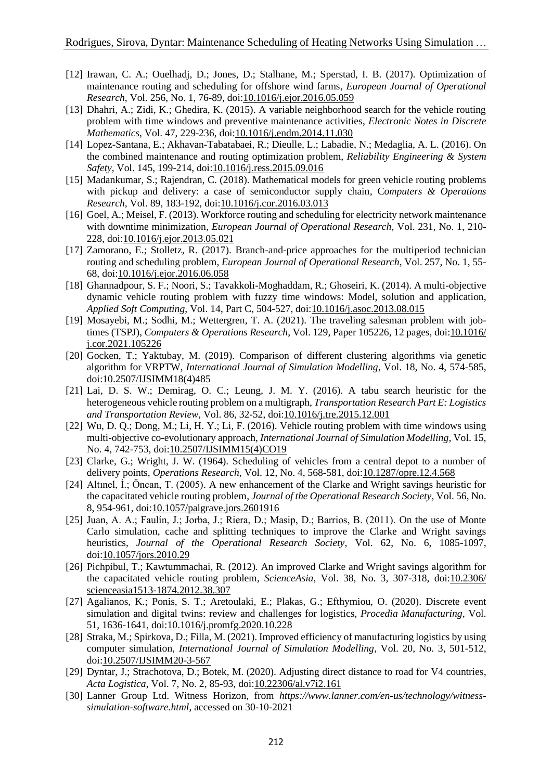- [12] Irawan, C. A.; Ouelhadj, D.; Jones, D.; Stalhane, M.; Sperstad, I. B. (2017). Optimization of maintenance routing and scheduling for offshore wind farms, *European Journal of Operational Research*, Vol. 256, No. 1, 76-89, doi[:10.1016/j.ejor.2016.05.059](https://doi.org/10.1016/j.ejor.2016.05.059)
- [13] Dhahri, A.; Zidi, K.; Ghedira, K. (2015). A variable neighborhood search for the vehicle routing problem with time windows and preventive maintenance activities, *Electronic Notes in Discrete Mathematics*, Vol. 47, 229-236, doi[:10.1016/j.endm.2014.11.030](https://doi.org/10.1016/j.endm.2014.11.030)
- [14] Lopez-Santana, E.; Akhavan-Tabatabaei, R.; Dieulle, L.; Labadie, N.; Medaglia, A. L. (2016). On the combined maintenance and routing optimization problem, *Reliability Engineering & System Safety*, Vol. 145, 199-214, doi[:10.1016/j.ress.2015.09.016](https://doi.org/10.1016/j.ress.2015.09.016)
- [15] Madankumar, S.; Rajendran, C. (2018). Mathematical models for green vehicle routing problems with pickup and delivery: a case of semiconductor supply chain, C*omputers & Operations Research*, Vol. 89, 183-192, doi[:10.1016/j.cor.2016.03.013](https://doi.org/10.1016/j.cor.2016.03.013)
- [16] Goel, A.; Meisel, F. (2013). Workforce routing and scheduling for electricity network maintenance with downtime minimization, *European Journal of Operational Research*, Vol. 231, No. 1, 210- 228, doi[:10.1016/j.ejor.2013.05.021](https://doi.org/10.1016/j.ejor.2013.05.021)
- [17] Zamorano, E.; Stolletz, R. (2017). Branch-and-price approaches for the multiperiod technician routing and scheduling problem, *European Journal of Operational Research*, Vol. 257, No. 1, 55- 68, doi[:10.1016/j.ejor.2016.06.058](https://doi.org/10.1016/j.ejor.2016.06.058)
- [18] Ghannadpour, S. F.; Noori, S.; Tavakkoli-Moghaddam, R.; Ghoseiri, K. (2014). A multi-objective dynamic vehicle routing problem with fuzzy time windows: Model, solution and application, *Applied Soft Computing*, Vol. 14, Part C, 504-527, doi[:10.1016/j.asoc.2013.08.015](https://doi.org/10.1016/j.asoc.2013.08.015)
- [19] Mosayebi, M.; Sodhi, M.; Wettergren, T. A. (2021). The traveling salesman problem with jobtimes (TSPJ), *Computers & Operations Research*, Vol. 129, Paper 105226, 12 pages, doi[:10.1016/](https://doi.org/10.1016/j.cor.2021.105226) [j.cor.2021.105226](https://doi.org/10.1016/j.cor.2021.105226)
- [20] Gocken, T.; Yaktubay, M. (2019). Comparison of different clustering algorithms via genetic algorithm for VRPTW, *International Journal of Simulation Modelling*, Vol. 18, No. 4, 574-585, doi[:10.2507/IJSIMM18\(4\)485](https://doi.org/10.2507/IJSIMM18(4)485)
- [21] Lai, D. S. W.; Demirag, O. C.; Leung, J. M. Y. (2016). A tabu search heuristic for the heterogeneous vehicle routing problem on a multigraph, *Transportation Research Part E: Logistics and Transportation Review*, Vol. 86, 32-52, doi[:10.1016/j.tre.2015.12.001](https://doi.org/10.1016/j.tre.2015.12.001)
- [22] Wu, D. Q.; Dong, M.; Li, H. Y.; Li, F. (2016). Vehicle routing problem with time windows using multi-objective co-evolutionary approach, *International Journal of Simulation Modelling*, Vol. 15, No. 4, 742-753, doi[:10.2507/IJSIMM15\(4\)CO19](https://doi.org/10.2507/IJSIMM15(4)CO19)
- [23] Clarke, G.; Wright, J. W. (1964). Scheduling of vehicles from a central depot to a number of delivery points, *Operations Research*, Vol. 12, No. 4, 568-581, doi[:10.1287/opre.12.4.568](https://doi.org/10.1287/opre.12.4.568)
- [24] Altınel, İ.; Öncan, T. (2005). A new enhancement of the Clarke and Wright savings heuristic for the capacitated vehicle routing problem, *Journal of the Operational Research Society*, Vol. 56, No. 8, 954-961, doi[:10.1057/palgrave.jors.2601916](https://doi.org/10.1057/palgrave.jors.2601916)
- [25] Juan, A. A.; Faulín, J.; Jorba, J.; Riera, D.; Masip, D.; Barrios, B. (2011). On the use of Monte Carlo simulation, cache and splitting techniques to improve the Clarke and Wright savings heuristics, *Journal of the Operational Research Society*, Vol. 62, No. 6, 1085-1097, doi[:10.1057/jors.2010.29](https://doi.org/10.1057/jors.2010.29)
- [26] Pichpibul, T.; Kawtummachai, R. (2012). An improved Clarke and Wright savings algorithm for the capacitated vehicle routing problem, *ScienceAsia*, Vol. 38, No. 3, 307-318, doi[:10.2306/](https://doi.org/10.2306/scienceasia1513-1874.2012.38.307) [scienceasia1513-1874.2012.38.307](https://doi.org/10.2306/scienceasia1513-1874.2012.38.307)
- [27] Agalianos, K.; Ponis, S. T.; Aretoulaki, E.; Plakas, G.; Efthymiou, O. (2020). Discrete event simulation and digital twins: review and challenges for logistics, *Procedia Manufacturing*, Vol. 51, 1636-1641, doi[:10.1016/j.promfg.2020.10.228](https://doi.org/10.1016/j.promfg.2020.10.228)
- [28] Straka, M.; Spirkova, D.; Filla, M. (2021). Improved efficiency of manufacturing logistics by using computer simulation, *International Journal of Simulation Modelling*, Vol. 20, No. 3, 501-512, doi[:10.2507/IJSIMM20-3-567](https://doi.org/10.2507/IJSIMM20-3-567)
- [29] Dyntar, J.; Strachotova, D.; Botek, M. (2020). Adjusting direct distance to road for V4 countries, *Acta Logistica*, Vol. 7, No. 2, 85-93, doi[:10.22306/al.v7i2.161](https://doi.org/10.22306/al.v7i2.161)
- [30] Lanner Group Ltd. Witness Horizon, from *https://www.lanner.com/en-us/technology/witnesssimulation-software.html*, accessed on 30-10-2021